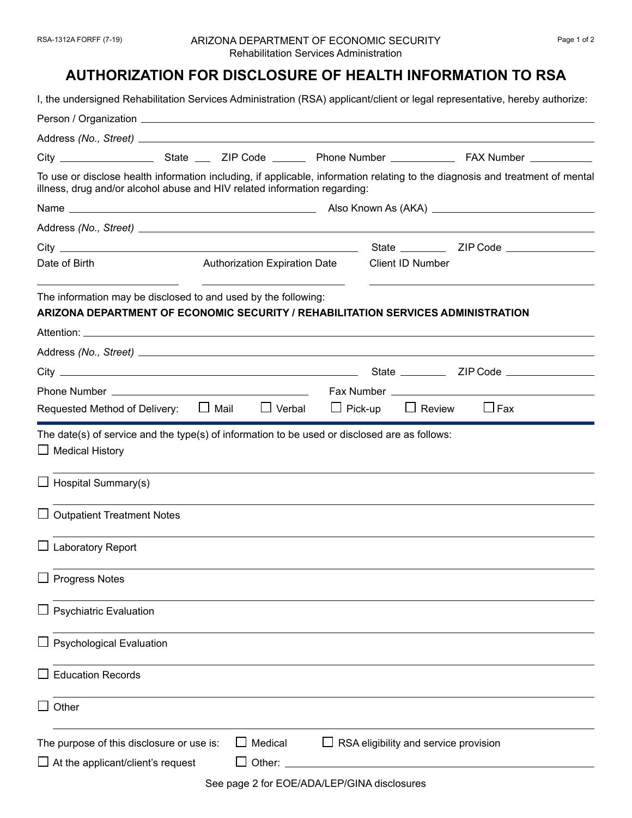## **AUTHORIZATION FOR DISCLOSURE OF HEALTH INFORMATION TO RSA**

I, the undersigned Rehabilitation Services Administration (RSA) applicant/client or legal representative, hereby authorize: Person / Organization Address *(No., Street)* City State ZIP Code Phone Number FAX Number To use or disclose health information including, if applicable, information relating to the diagnosis and treatment of mental illness, drug and/or alcohol abuse and HIV related information regarding: Name Also Known As (AKA) Address *(No., Street)*  City State ZIP Code Date of Birth **Authorization Expiration Date** Client ID Number The information may be disclosed to and used by the following: **ARIZONA DEPARTMENT OF ECONOMIC SECURITY / REHABILITATION SERVICES ADMINISTRATION** Attention: \_ Address *(No., Street)*  City State ZIP Code Phone Number Fax Number Requested Method of Delivery:  $\Box$  Mail  $\Box$  Verbal  $\Box$  Pick-up  $\Box$  Review  $\Box$  Fax The date(s) of service and the type(s) of information to be used or disclosed are as follows: **□** Medical History  $\Box$  Hospital Summary(s)  $\Box$  Outpatient Treatment Notes  $\Box$  Laboratory Report  $\Box$  Progress Notes  $\Box$  Psychiatric Evaluation  $\Box$  Psychological Evaluation  $\Box$  Education Records **□ Other** The purpose of this disclosure or use is:  $\Box$  Medical  $\Box$  RSA eligibility and service provision  $\Box$  At the applicant/client's request  $\Box$  Other:  $\Box$ See page 2 for EOE/ADA/LEP/GINA disclosures